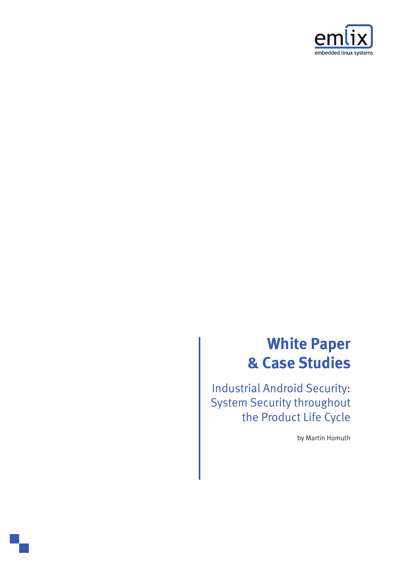

## **White Paper & Case Studies**

Industrial Android Security: System Security throughout the Product Life Cycle

by Martin Homuth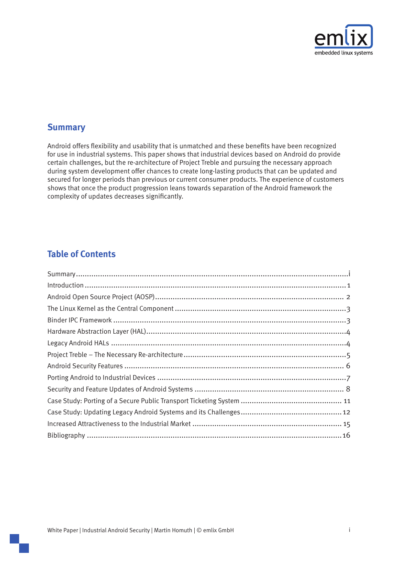

## **Summary**

Android offers flexibility and usability that is unmatched and these benefits have been recognized for use in industrial systems. This paper shows that industrial devices based on Android do provide certain challenges, but the re-architecture of Project Treble and pursuing the necessary approach during system development offer chances to create long-lasting products that can be updated and secured for longer periods than previous or current consumer products. The experience of customers shows that once the product progression leans towards separation of the Android framework the complexity of updates decreases significantly.

## **Table of Contents**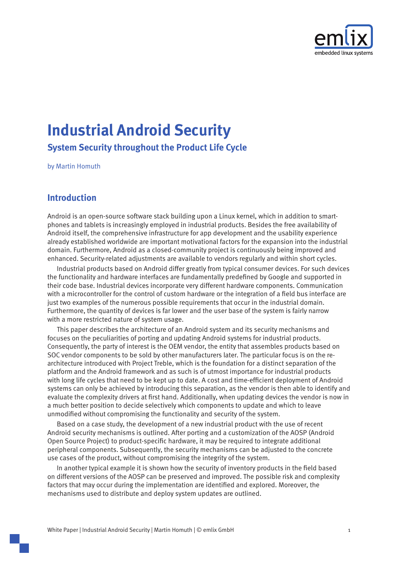

# <span id="page-2-0"></span>**Industrial Android Security**

**System Security throughout the Product Life Cycle** 

by Martin Homuth

## **Introduction**

phones and tablets is increasingly employed in industrial products. Besides the free availability of Android is an open-source software stack building upon a Linux kernel, which in addition to smart-Android itself, the comprehensive infrastructure for app development and the usability experience already established worldwide are important motivational factors for the expansion into the industrial domain. Furthermore, Android as a closed-community project is continuously being improved and enhanced. Security-related adjustments are available to vendors regularly and within short cycles.

Industrial products based on Android differ greatly from typical consumer devices. For such devices the functionality and hardware interfaces are fundamentally predefined by Google and supported in their code base. Industrial devices incorporate very different hardware components. Communication with a microcontroller for the control of custom hardware or the integration of a field bus interface are just two examples of the numerous possible requirements that occur in the industrial domain. Furthermore, the quantity of devices is far lower and the user base of the system is fairly narrow with a more restricted nature of system usage.

This paper describes the architecture of an Android system and its security mechanisms and focuses on the peculiarities of porting and updating Android systems for industrial products. Consequently, the party of interest is the OEM vendor, the entity that assembles products based on architecture introduced with Project Treble, which is the foundation for a distinct separation of the SOC vendor components to be sold by other manufacturers later. The particular focus is on the replatform and the Android framework and as such is of utmost importance for industrial products with long life cycles that need to be kept up to date. A cost and time-efficient deployment of Android systems can only be achieved by introducing this separation, as the vendor is then able to identify and evaluate the complexity drivers at first hand. Additionally, when updating devices the vendor is now in a much better position to decide selectively which components to update and which to leave unmodified without compromising the functionality and security of the system.

Based on a case study, the development of a new industrial product with the use of recent Android security mechanisms is outlined. After porting and a customization of the AOSP (Android Open Source Project) to product-specific hardware, it may be required to integrate additional peripheral components. Subsequently, the security mechanisms can be adjusted to the concrete use cases of the product, without compromising the integrity of the system.

In another typical example it is shown how the security of inventory products in the field based on different versions of the AOSP can be preserved and improved. The possible risk and complexity factors that may occur during the implementation are identified and explored. Moreover, the mechanisms used to distribute and deploy system updates are outlined.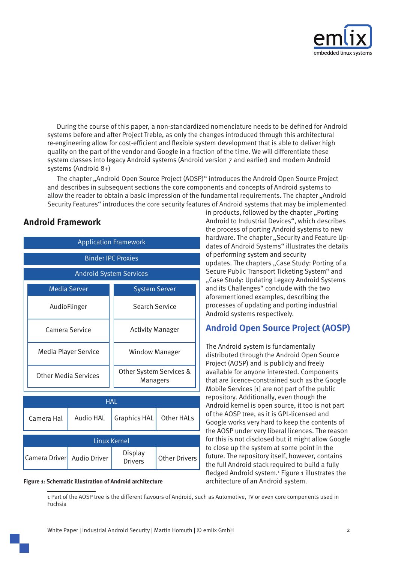

<span id="page-3-0"></span>During the course of this paper, a non-standardized nomenclature needs to be defined for Android systems before and after Project Treble, as only the changes introduced through this architectural re-engineering allow for cost-efficient and flexible system development that is able to deliver high quality on the part of the vendor and Google in a fraction of the time. We will differentiate these system classes into legacy Android systems (Android version 7 and earlier) and modern Android systems (Android 8+)

The chapter "Android Open Source Project (AOSP)" introduces the Android Open Source Project and describes in subsequent sections the core components and concepts of Android systems to allow the reader to obtain a basic impression of the fundamental requirements. The chapter ["](#page-7-1)Android Security Features["](#page-7-1) introduces the core security features of Android systems that may be implemented

## **Android Framework**

| <b>Application Framework</b>   |           |                                     |                      |  |  |
|--------------------------------|-----------|-------------------------------------|----------------------|--|--|
| <b>Binder IPC Proxies</b>      |           |                                     |                      |  |  |
| <b>Android System Services</b> |           |                                     |                      |  |  |
| <b>Media Server</b>            |           | <b>System Server</b>                |                      |  |  |
| AudioFlinger                   |           | <b>Search Service</b>               |                      |  |  |
| Camera Service                 |           | <b>Activity Manager</b>             |                      |  |  |
| Media Player Service           |           | <b>Window Manager</b>               |                      |  |  |
| <b>Other Media Services</b>    |           | Other System Services &<br>Managers |                      |  |  |
| <b>HAL</b>                     |           |                                     |                      |  |  |
| Camera Hal                     | Audio HAI | <b>Graphics HAL</b>                 | Other HALs           |  |  |
| <b>Linux Kernel</b>            |           |                                     |                      |  |  |
| Camera Driver   Audio Driver   |           | Display<br><b>Drivers</b>           | <b>Other Drivers</b> |  |  |

#### **Figure 1: Schematic illustration of Android architecture**

in products, followed by the chapter ["](#page-8-1)Porting Android to Industrial Devices", which describes the process of porting Android systems to new dates of Android Systems["](#page-9-1) illustrates the details hardware. The chapter "Security and Feature Upof performing system and security updates. The chapters "Case Study: Porting of a Secure Public Transport Ticketing System" and "Case Study: Updating Legacy Android Systems and its Challenges["](#page-13-1) conclude with the two aforementioned examples, describing the processes of updating and porting industrial Android systems respectively.

## <span id="page-3-1"></span>**Android Open Source Project (AOSP)**

The Android system is fundamentally distributed through the Android Open Source Project (AOSP) and is publicly and freely available for anyone interested. Components that are licence-constrained such as the Google Mobile Services  $[1]$  are not part of the public repository. Additionally, even though the Android kernel is open source, it too is not part of the AOSP tree, as it is GPL-licensed and Google works very hard to keep the contents of the AOSP under very liberal licences. The reason for this is not disclosed but it might allow Google to close up the system at some point in the future. The repository itself, however, contains the full Android stack required to build a fully fledged Android system.<sup>1</sup> Figure 1 illustrates the architecture of an Android system.

1 Part of the AOSP tree is the different flavours of Android, such as Automotive, TV or even core components used in Fuchsia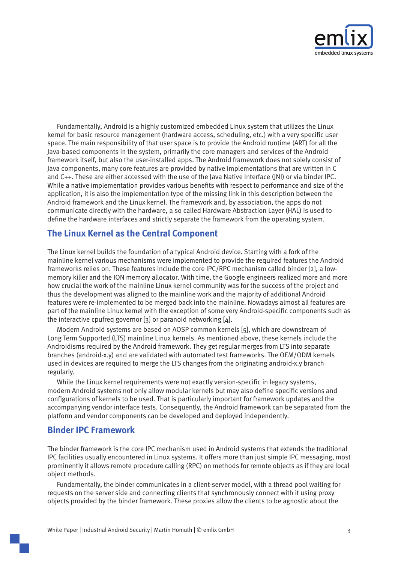

<span id="page-4-0"></span>Fundamentally, Android is a highly customized embedded Linux system that utilizes the Linux kernel for basic resource management (hardware access, scheduling, etc.) with a very specific user space. The main responsibility of that user space is to provide the Android runtime (ART) for all the lava-based components in the system, primarily the core managers and services of the Android framework itself, but also the user-installed apps. The Android framework does not solely consist of Java components, many core features are provided by native implementations that are written in C and C++. These are either accessed with the use of the Java Native Interface (JNI) or via binder IPC. While a native implementation provides various benefits with respect to performance and size of the application, it is also the implementation type of the missing link in this description between the Android framework and the Linux kernel. The framework and, by association, the apps do not communicate directly with the hardware, a so called Hardware Abstraction Layer (HAL) is used to define the hardware interfaces and strictly separate the framework from the operating system.

## **The Linux Kernel as the Central Component**

The Linux kernel builds the foundation of a typical Android device. Starting with a fork of the mainline kernel various mechanisms were implemented to provide the required features the Android memory killer and the ION memory allocator. With time, the Google engineers realized more and more frameworks relies on. These features include the core IPC/RPC mechanism called binder [2], a lowhow crucial the work of the mainline Linux kernel community was for the success of the project and thus the development was aligned to the mainline work and the majority of additional Android features were re-implemented to be merged back into the mainline. Nowadays almost all features are part of the mainline Linux kernel with the exception of some very Android-specific components such as the interactive cpufreq governor [3] or paranoid networking  $[4]$ .

Modern Android systems are based on AOSP common kernels [5], which are downstream of Long Term Supported (LTS) mainline Linux kernels. As mentioned above, these kernels include the Androidisms required by the Android framework. They get regular merges from LTS into separate branches (android-x.y) and are validated with automated test frameworks. The OEM/ODM kernels used in devices are required to merge the LTS changes from the originating android-x.y branch .regularly

While the Linux kernel requirements were not exactly version-specific in legacy systems, modern Android systems not only allow modular kernels but may also define specific versions and configurations of kernels to be used. That is particularly important for framework updates and the accompanying vendor interface tests. Consequently, the Android framework can be separated from the platform and vendor components can be developed and deployed independently.

## **Rinder IPC Framework**

The binder framework is the core IPC mechanism used in Android systems that extends the traditional IPC facilities usually encountered in Linux systems. It offers more than just simple IPC messaging, most prominently it allows remote procedure calling (RPC) on methods for remote objects as if they are local object methods.

Fundamentally, the binder communicates in a client-server model, with a thread pool waiting for requests on the server side and connecting clients that synchronously connect with it using proxy objects provided by the binder framework. These proxies allow the clients to be agnostic about the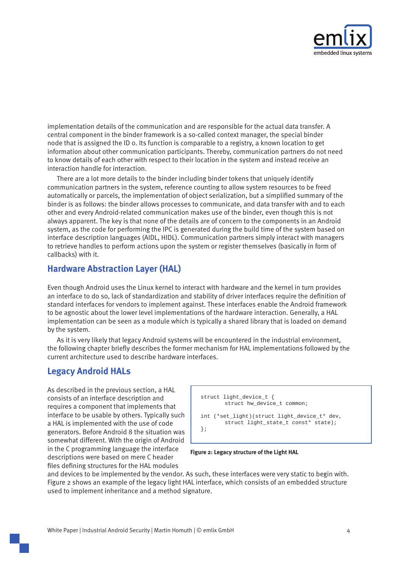

<span id="page-5-0"></span>implementation details of the communication and are responsible for the actual data transfer. A central component in the binder framework is a so-called context manager, the special binder node that is assigned the ID o. Its function is comparable to a registry, a known location to get information about other communication participants. Thereby, communication partners do not need to know details of each other with respect to their location in the system and instead receive an interaction handle for interaction.

There are a lot more details to the binder including binder tokens that uniquely identify communication partners in the system, reference counting to allow system resources to be freed automatically or parcels, the implementation of object serialization, but a simplified summary of the binder is as follows: the binder allows processes to communicate, and data transfer with and to each other and every Android-related communication makes use of the binder, even though this is not always apparent. The key is that none of the details are of concern to the components in an Android system, as the code for performing the IPC is generated during the build time of the system based on interface description languages (AIDL, HIDL). Communication partners simply interact with managers to retrieve handles to perform actions upon the system or register themselves (basically in form of callbacks) with it.

## <span id="page-5-1"></span>**Hardware Abstraction Layer (HAL)**

Even though Android uses the Linux kernel to interact with hardware and the kernel in turn provides an interface to do so, lack of standardization and stability of driver interfaces require the definition of standard interfaces for vendors to implement against. These interfaces enable the Android framework to be agnostic about the lower level implementations of the hardware interaction. Generally, a HAL implementation can be seen as a module which is typically a shared library that is loaded on demand by the system.

As it is very likely that legacy Android systems will be encountered in the industrial environment, the following chapter briefly describes the former mechanism for HAL implementations followed by the current architecture used to describe hardware interfaces.

## **Legacy Android HALs**

As described in the previous section, a HAL consists of an interface description and requires a component that implements that interface to be usable by others. Typically such a HAL is implemented with the use of code generators. Before Android 8 the situation was somewhat different. With the origin of Android in the C programming language the interface descriptions were based on mere C header files defining structures for the HAL modules

 $struct$  light device  $t \in \mathcal{L}$ struct hw\_device\_t common; int (\*set\_light)(struct light\_device\_t\* dev, struct light\_state\_t const\* state); ;{

**Figure 2: Legacy structure of the Light HAL** 

and devices to be implemented by the vendor. As such, these interfaces were very static to begin with. Figure 2 shows an example of the legacy light HAL interface, which consists of an embedded structure used to implement inheritance and a method signature.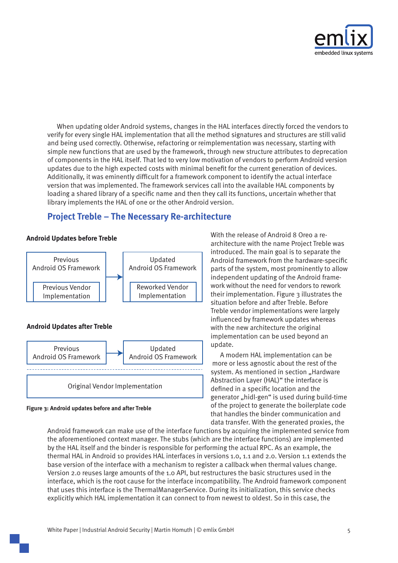

<span id="page-6-0"></span>When updating older Android systems, changes in the HAL interfaces directly forced the vendors to verify for every single HAL implementation that all the method signatures and structures are still valid and being used correctly. Otherwise, refactoring or reimplementation was necessary, starting with simple new functions that are used by the framework, through new structure attributes to deprecation of components in the HAL itself. That led to very low motivation of vendors to perform Android version updates due to the high expected costs with minimal benefit for the current generation of devices. Additionally, it was eminently difficult for a framework component to identify the actual interface version that was implemented. The framework services call into the available HAL components by loading a shared library of a specific name and then they call its functions, uncertain whether that library implements the HAL of one or the other Android version.

## **Project Treble – The Necessary Re-architecture**

#### **Android Updates before Treble**



#### **Figure 3: Android updates before and after Treble**

architecture with the name Project Treble was With the release of Android 8 Oreo a reintroduced. The main goal is to separate the Android framework from the hardware-specific parts of the system, most prominently to allow work without the need for vendors to rework independent updating of the Android frametheir implementation. Figure  $\alpha$  illustrates the situation before and after Treble. Before Treble vendor implementations were largely influenced by framework updates whereas with the new architecture the original implementation can be used beyond an .update

A modern HAL implementation can be more or less agnostic about the rest of the system. As mentioned in section ["](#page-5-1)Hardware Abstraction Layer (HAL[\)"](#page-5-1) the interface is defined in a specific location and the generator "hidl-gen" is used during build-time of the project to generate the boilerplate code that handles the binder communication and data transfer. With the generated proxies, the

Android framework can make use of the interface functions by acquiring the implemented service from the aforementioned context manager. The stubs (which are the interface functions) are implemented by the HAL itself and the binder is responsible for performing the actual RPC. As an example, the thermal HAL in Android 10 provides HAL interfaces in versions 1.0, 1.1 and 2.0. Version 1.1 extends the base version of the interface with a mechanism to register a callback when thermal values change. Version 2.0 reuses large amounts of the 1.0 API, but restructures the basic structures used in the interface, which is the root cause for the interface incompatibility. The Android framework component that uses this interface is the ThermalManagerService. During its initialization, this service checks explicitly which HAL implementation it can connect to from newest to oldest. So in this case, the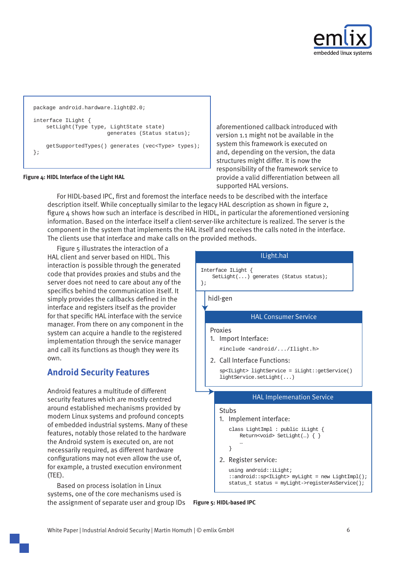

```
package android.hardware.light@2.0;
interface ILight {
    setLight(Type type, LightState state)
                       generates (Status status);
    getSupportedTypes() generates (vec<Type> types);
;{
```
#### Figure 4: HIDL Interface of the Light HAL

aforementioned callback introduced with version 1.1 might not be available in the system this framework is executed on and, depending on the version, the data structures might differ. It is now the responsibility of the framework service to provide a valid differentiation between all supported HAL versions.

For HIDL-based IPC, first and foremost the interface needs to be described with the interface description itself. While conceptually similar to the legacy HAL description as shown in figure 2, figure  $4$  shows how such an interface is described in HIDL, in particular the aforementioned versioning information. Based on the interface itself a client-server-like architecture is realized. The server is the component in the system that implements the HAL itself and receives the calls noted in the interface. The clients use that interface and make calls on the provided methods.

Figure  $5$  illustrates the interaction of a HAL client and server based on HIDL. This interaction is possible through the generated code that provides proxies and stubs and the server does not need to care about any of the specifics behind the communication itself. It simply provides the callbacks defined in the interface and registers itself as the provider for that specific HAL interface with the service manager. From there on any component in the system can acquire a handle to the registered implementation through the service manager and call its functions as though they were its own.

## <span id="page-7-1"></span>**Android Security Features**

Android features a multitude of different security features which are mostly centred around established mechanisms provided by modern Linux systems and profound concepts of embedded industrial systems. Many of these features, notably those related to the hardware the Android system is executed on, are not necessarily required, as different hardware configurations may not even allow the use of. for example, a trusted execution environment  $(TEE)$ .

Based on process isolation in Linux systems, one of the core mechanisms used is the assignment of separate user and group IDs



**Figure 5: HIDL-based IPC**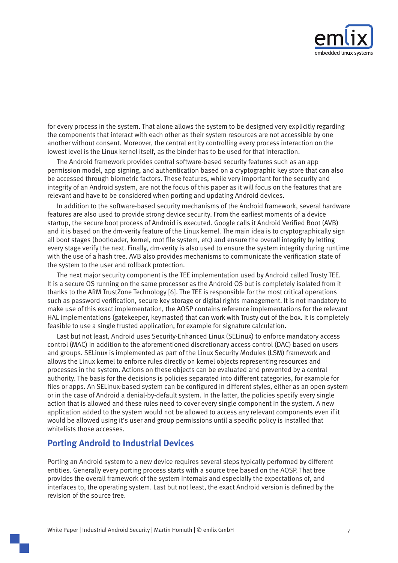

<span id="page-8-0"></span>for every process in the system. That alone allows the system to be designed very explicitly regarding the components that interact with each other as their system resources are not accessible by one another without consent. Moreover, the central entity controlling every process interaction on the lowest level is the Linux kernel itself, as the binder has to be used for that interaction.

The Android framework provides central software-based security features such as an app permission model, app signing, and authentication based on a cryptographic key store that can also be accessed through biometric factors. These features, while very important for the security and integrity of an Android system, are not the focus of this paper as it will focus on the features that are relevant and have to be considered when porting and updating Android devices.

In addition to the software-based security mechanisms of the Android framework, several hardware features are also used to provide strong device security. From the earliest moments of a device startup, the secure boot process of Android is executed. Google calls it Android Verified Boot (AVB) and it is based on the dm-verity feature of the Linux kernel. The main idea is to cryptographically sign all boot stages (bootloader, kernel, root file system, etc) and ensure the overall integrity by letting every stage verify the next. Finally, dm-verity is also used to ensure the system integrity during runtime with the use of a hash tree. AVB also provides mechanisms to communicate the verification state of the system to the user and rollback protection.

The next major security component is the TEE implementation used by Android called Trusty TEE. It is a secure OS running on the same processor as the Android OS but is completely isolated from it thanks to the ARM TrustZone Technology [6]. The TEE is responsible for the most critical operations such as password verification, secure key storage or digital rights management. It is not mandatory to make use of this exact implementation, the AOSP contains reference implementations for the relevant HAL implementations (gatekeeper, keymaster) that can work with Trusty out of the box. It is completely feasible to use a single trusted application, for example for signature calculation.

Last but not least. Android uses Security-Enhanced Linux (SELinux) to enforce mandatory access control (MAC) in addition to the aforementioned discretionary access control (DAC) based on users and groups. SELinux is implemented as part of the Linux Security Modules (LSM) framework and allows the Linux kernel to enforce rules directly on kernel objects representing resources and processes in the system. Actions on these objects can be evaluated and prevented by a central authority. The basis for the decisions is policies separated into different categories, for example for files or apps. An SELinux-based system can be configured in different styles, either as an open system or in the case of Android a denial-by-default system. In the latter, the policies specify every single action that is allowed and these rules need to cover every single component in the system. A new application added to the system would not be allowed to access any relevant components even if it would be allowed using it's user and group permissions until a specific policy is installed that whitelists those accesses.

## <span id="page-8-1"></span>**Porting Android to Industrial Devices**

Porting an Android system to a new device requires several steps typically performed by different entities. Generally every porting process starts with a source tree based on the AOSP. That tree provides the overall framework of the system internals and especially the expectations of, and interfaces to, the operating system. Last but not least, the exact Android version is defined by the revision of the source tree.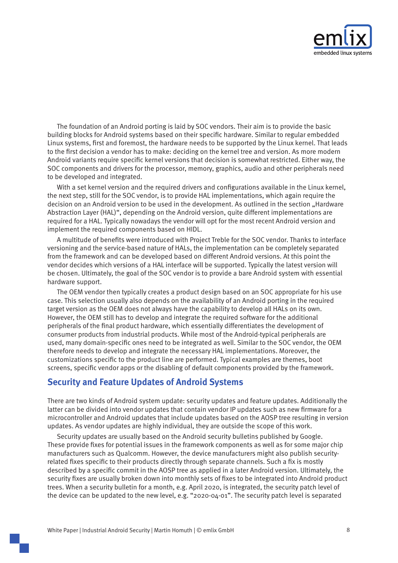

<span id="page-9-0"></span>The foundation of an Android porting is laid by SOC vendors. Their aim is to provide the basic building blocks for Android systems based on their specific hardware. Similar to regular embedded Linux systems, first and foremost, the hardware needs to be supported by the Linux kernel. That leads to the first decision a vendor has to make: deciding on the kernel tree and version. As more modern Android variants require specific kernel versions that decision is somewhat restricted. Either way, the SOC components and drivers for the processor, memory, graphics, audio and other peripherals need to be developed and integrated.

With a set kernel version and the required drivers and configurations available in the Linux kernel. the next step, still for the SOC vendor, is to provide HAL implementations, which again require the decision on an Android version to be used in the development. As outlined in the section ["](#page-5-1)Hardware Abstraction Layer (HAL)", depending on the Android version, quite different implementations are required for a HAL. Typically nowadays the vendor will opt for the most recent Android version and implement the required components based on HIDL.

A multitude of benefits were introduced with Project Treble for the SOC vendor. Thanks to interface versioning and the service-based nature of HALs, the implementation can be completely separated from the framework and can be developed based on different Android versions. At this point the vendor decides which versions of a HAL interface will be supported. Typically the latest version will be chosen. Ultimately, the goal of the SOC vendor is to provide a bare Android system with essential hardware support.

The OEM vendor then typically creates a product design based on an SOC appropriate for his use case. This selection usually also depends on the availability of an Android porting in the required target version as the OEM does not always have the capability to develop all HALs on its own. However, the OEM still has to develop and integrate the required software for the additional peripherals of the final product hardware, which essentially differentiates the development of consumer products from industrial products. While most of the Android-typical peripherals are used, many domain-specific ones need to be integrated as well. Similar to the SOC vendor, the OEM therefore needs to develop and integrate the necessary HAL implementations. Moreover, the customizations specific to the product line are performed. Typical examples are themes, boot screens, specific vendor apps or the disabling of default components provided by the framework.

## <span id="page-9-1"></span>**Security and Feature Updates of Android Systems**

There are two kinds of Android system update: security updates and feature updates. Additionally the latter can be divided into vendor updates that contain vendor IP updates such as new firmware for a microcontroller and Android updates that include updates based on the AOSP tree resulting in version updates. As vendor updates are highly individual, they are outside the scope of this work.

Security updates are usually based on the Android security bulletins published by Google. These provide fixes for potential issues in the framework components as well as for some major chip manufacturers such as Qualcomm. However, the device manufacturers might also publish security-<br>related fixes specific to their products directly through separate channels. Such a fix is mostly described by a specific commit in the AOSP tree as applied in a later Android version. Ultimately, the security fixes are usually broken down into monthly sets of fixes to be integrated into Android product trees. When a security bulletin for a month, e.g. April 2020, is integrated, the security patch level of the device can be updated to the new level, e.g. "2020-04-01". The security patch level is separated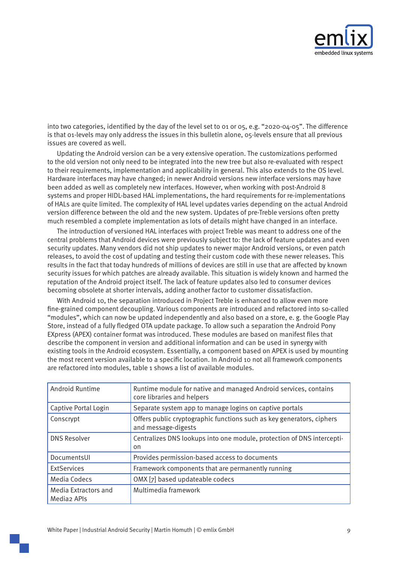

into two categories, identified by the day of the level set to 01 or 05, e.g. "2020-04-05". The difference is that 01-levels may only address the issues in this bulletin alone, 05-levels ensure that all previous issues are covered as well.

Updating the Android version can be a very extensive operation. The customizations performed to the old version not only need to be integrated into the new tree but also re-evaluated with respect to their requirements, implementation and applicability in general. This also extends to the OS level. Hardware interfaces may have changed; in newer Android versions new interface versions may have been added as well as completely new interfaces. However, when working with post-Android 8 systems and proper HIDL-based HAL implementations, the hard requirements for re-implementations of HALs are quite limited. The complexity of HAL level updates varies depending on the actual Android version difference between the old and the new system. Updates of pre-Treble versions often pretty much resembled a complete implementation as lots of details might have changed in an interface.

The introduction of versioned HAL interfaces with project Treble was meant to address one of the central problems that Android devices were previously subject to: the lack of feature updates and even security updates. Many vendors did not ship updates to newer major Android versions, or even patch releases, to avoid the cost of updating and testing their custom code with these newer releases. This results in the fact that today hundreds of millions of devices are still in use that are affected by known security issues for which patches are already available. This situation is widely known and harmed the reputation of the Android project itself. The lack of feature updates also led to consumer devices becoming obsolete at shorter intervals, adding another factor to customer dissatisfaction.

With Android 10, the separation introduced in Project Treble is enhanced to allow even more fine-grained component decoupling. Various components are introduced and refactored into so-called "modules", which can now be updated independently and also based on a store, e.g. the Google Play Store, instead of a fully fledged OTA update package. To allow such a separation the Android Pony EXpress (APEX) container format was introduced. These modules are based on manifest files that describe the component in version and additional information and can be used in synergy with existing tools in the Android ecosystem. Essentially, a component based on APEX is used by mounting the most recent version available to a specific location. In Android 10 not all framework components are refactored into modules, table 1 shows a list of available modules.

| Android Runtime                                 | Runtime module for native and managed Android services, contains<br>core libraries and helpers |  |  |
|-------------------------------------------------|------------------------------------------------------------------------------------------------|--|--|
| Captive Portal Login                            | Separate system app to manage logins on captive portals                                        |  |  |
| Conscrypt                                       | Offers public cryptographic functions such as key generators, ciphers<br>and message-digests   |  |  |
| <b>DNS Resolver</b>                             | Centralizes DNS lookups into one module, protection of DNS intercepti-<br>on                   |  |  |
| DocumentsUI                                     | Provides permission-based access to documents                                                  |  |  |
| <b>ExtServices</b>                              | Framework components that are permanently running                                              |  |  |
| Media Codecs                                    | OMX [7] based updateable codecs                                                                |  |  |
| Media Extractors and<br>Media <sub>2</sub> APIs | Multimedia framework                                                                           |  |  |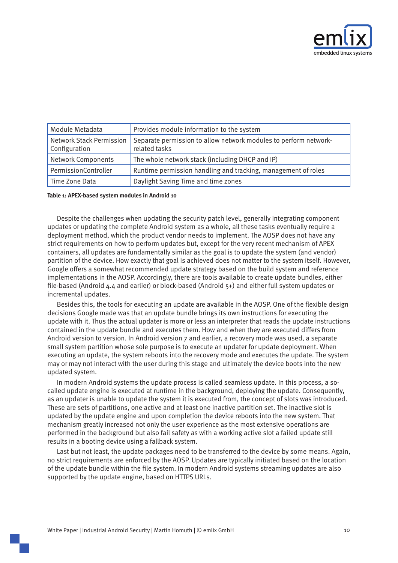

| Module Metadata                                  | Provides module information to the system                                         |
|--------------------------------------------------|-----------------------------------------------------------------------------------|
| <b>Network Stack Permission</b><br>Configuration | Separate permission to allow network modules to perform network-<br>related tasks |
| <b>Network Components</b>                        | The whole network stack (including DHCP and IP)                                   |
| PermissionController                             | Runtime permission handling and tracking, management of roles                     |
| Time Zone Data                                   | Daylight Saving Time and time zones                                               |

#### Table 1: APEX-based system modules in Android 10

Despite the challenges when updating the security patch level, generally integrating component updates or updating the complete Android system as a whole, all these tasks eventually require a deployment method, which the product vendor needs to implement. The AOSP does not have any strict requirements on how to perform updates but, except for the very recent mechanism of APEX containers, all updates are fundamentally similar as the goal is to update the system (and vendor) partition of the device. How exactly that goal is achieved does not matter to the system itself. However, Google offers a somewhat recommended update strategy based on the build system and reference implementations in the AOSP. Accordingly, there are tools available to create update bundles, either file-based (Android 4.4 and earlier) or block-based (Android  $5+$ ) and either full system updates or incremental updates.

Besides this, the tools for executing an update are available in the AOSP. One of the flexible design decisions Google made was that an update bundle brings its own instructions for executing the update with it. Thus the actual updater is more or less an interpreter that reads the update instructions contained in the update bundle and executes them. How and when they are executed differs from Android version to version. In Android version 7 and earlier, a recovery mode was used, a separate small system partition whose sole purpose is to execute an updater for update deployment. When executing an update, the system reboots into the recovery mode and executes the update. The system may or may not interact with the user during this stage and ultimately the device boots into the new updated system.

called update engine is executed at runtime in the background, deploying the update. Consequently, In modern Android systems the update process is called seamless update. In this process, a soas an updater is unable to update the system it is executed from, the concept of slots was introduced. These are sets of partitions, one active and at least one inactive partition set. The inactive slot is updated by the update engine and upon completion the device reboots into the new system. That mechanism greatly increased not only the user experience as the most extensive operations are performed in the background but also fail safety as with a working active slot a failed update still results in a booting device using a fallback system.

Last but not least, the update packages need to be transferred to the device by some means. Again, no strict requirements are enforced by the AOSP. Updates are typically initiated based on the location of the update bundle within the file system. In modern Android systems streaming updates are also supported by the update engine, based on HTTPS URLs.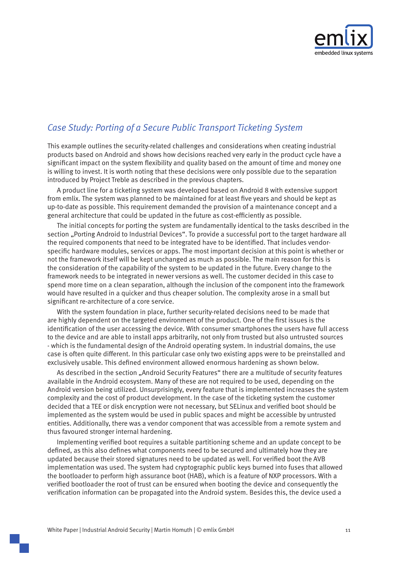

## <span id="page-12-1"></span><span id="page-12-0"></span>**Case Study: Porting of a Secure Public Transport Ticketing System**

This example outlines the security-related challenges and considerations when creating industrial products based on Android and shows how decisions reached very early in the product cycle have a significant impact on the system flexibility and quality based on the amount of time and money one is willing to invest. It is worth noting that these decisions were only possible due to the separation introduced by Project Treble as described in the previous chapters.

A product line for a ticketing system was developed based on Android 8 with extensive support from emlix. The system was planned to be maintained for at least five years and should be kept as up-to-date as possible. This requirement demanded the provision of a maintenance concept and a general architecture that could be updated in the future as cost-efficiently as possible.

The initial concepts for porting the system are fundamentally identical to the tasks described in the section ["](#page-8-1)Porting Android to Industrial Devices". To provide a successful port to the target hardware all specific hardware modules, services or apps. The most important decision at this point is whether or the required components that need to be integrated have to be identified. That includes vendornot the framework itself will be kept unchanged as much as possible. The main reason for this is the consideration of the capability of the system to be updated in the future. Every change to the framework needs to be integrated in newer versions as well. The customer decided in this case to spend more time on a clean separation, although the inclusion of the component into the framework would have resulted in a quicker and thus cheaper solution. The complexity arose in a small but significant re-architecture of a core service.

With the system foundation in place, further security-related decisions need to be made that are highly dependent on the targeted environment of the product. One of the first issues is the identification of the user accessing the device. With consumer smartphones the users have full access to the device and are able to install apps arbitrarily, not only from trusted but also untrusted sources - which is the fundamental design of the Android operating system. In industrial domains, the use case is often quite different. In this particular case only two existing apps were to be preinstalled and exclusively usable. This defined environment allowed enormous hardening as shown below.

As described in the section ["](#page-7-1)Android Security Features" there are a multitude of security features available in the Android ecosystem. Many of these are not required to be used, depending on the Android version being utilized. Unsurprisingly, every feature that is implemented increases the system complexity and the cost of product development. In the case of the ticketing system the customer decided that a TEE or disk encryption were not necessary, but SELinux and verified boot should be implemented as the system would be used in public spaces and might be accessible by untrusted entities. Additionally, there was a vendor component that was accessible from a remote system and thus favoured stronger internal hardening.

Implementing verified boot requires a suitable partitioning scheme and an update concept to be defined, as this also defines what components need to be secured and ultimately how they are updated because their stored signatures need to be updated as well. For verified boot the AVB implementation was used. The system had cryptographic public keys burned into fuses that allowed the bootloader to perform high assurance boot (HAB), which is a feature of NXP processors. With a verified bootloader the root of trust can be ensured when booting the device and consequently the verification information can be propagated into the Android system. Besides this, the device used a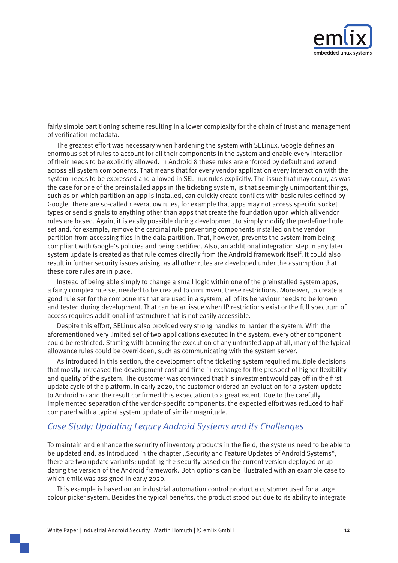

<span id="page-13-0"></span>fairly simple partitioning scheme resulting in a lower complexity for the chain of trust and management of verification metadata.

The greatest effort was necessary when hardening the system with SELinux. Google defines an enormous set of rules to account for all their components in the system and enable every interaction of their needs to be explicitly allowed. In Android 8 these rules are enforced by default and extend across all system components. That means that for every vendor application every interaction with the system needs to be expressed and allowed in SELinux rules explicitly. The issue that may occur, as was the case for one of the preinstalled apps in the ticketing system, is that seemingly unimportant things, such as on which partition an app is installed, can quickly create conflicts with basic rules defined by Google. There are so-called neverallow rules, for example that apps may not access specific socket types or send signals to anything other than apps that create the foundation upon which all vendor rules are based. Again, it is easily possible during development to simply modify the predefined rule set and, for example, remove the cardinal rule preventing components installed on the vendor partition from accessing files in the data partition. That, however, prevents the system from being compliant with Google's policies and being certified. Also, an additional integration step in any later system update is created as that rule comes directly from the Android framework itself. It could also result in further security issues arising, as all other rules are developed under the assumption that these core rules are in place.

Instead of being able simply to change a small logic within one of the preinstalled system apps, a fairly complex rule set needed to be created to circumvent these restrictions. Moreover, to create a good rule set for the components that are used in a system, all of its behaviour needs to be known and tested during development. That can be an issue when IP restrictions exist or the full spectrum of access requires additional infrastructure that is not easily accessible.

Despite this effort, SELinux also provided very strong handles to harden the system. With the aforementioned very limited set of two applications executed in the system, every other component could be restricted. Starting with banning the execution of any untrusted app at all, many of the typical allowance rules could be overridden, such as communicating with the system server.

As introduced in this section, the development of the ticketing system required multiple decisions that mostly increased the development cost and time in exchange for the prospect of higher flexibility and quality of the system. The customer was convinced that his investment would pay off in the first update cycle of the platform. In early 2020, the customer ordered an evaluation for a system update to Android 10 and the result confirmed this expectation to a great extent. Due to the carefully implemented separation of the vendor-specific components, the expected effort was reduced to half compared with a typical system update of similar magnitude.

## <span id="page-13-1"></span>**Case Study: Updating Legacy Android Systems and its Challenges**

To maintain and enhance the security of inventory products in the field, the systems need to be able to be updated and, as introduced in the chapter ["](#page-9-1)Security and Feature Updates of Android Systems", dating the version of the Android framework. Both options can be illustrated with an example case to there are two update variants: updating the security based on the current version deployed or upwhich emlix was assigned in early 2020.

This example is based on an industrial automation control product a customer used for a large colour picker system. Besides the typical benefits, the product stood out due to its ability to integrate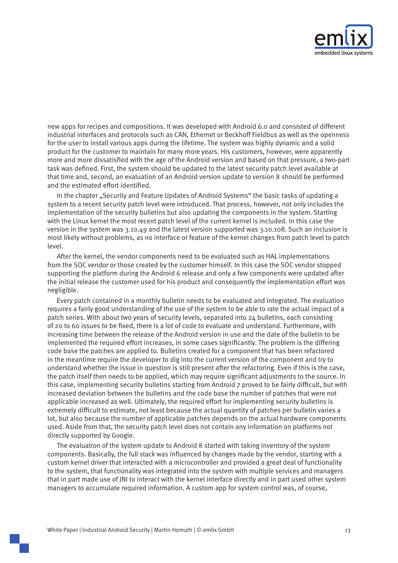

new apps for recipes and compositions. It was developed with Android 6.0 and consisted of different industrial interfaces and protocols such as CAN, Ethernet or Beckhoff Fieldbus as well as the openness for the user to install various apps during the lifetime. The system was highly dynamic and a solid product for the customer to maintain for many more vears. His customers, however, were apparently more and more dissatisfied with the age of the Android version and based on that pressure, a two-part task was defined. First, the system should be updated to the latest security patch level available at that time and, second, an evaluation of an Android version update to version 8 should be performed and the estimated effort identified.

In the chapter ["](#page-9-1)Security and Feature Updates of Android Systems" the basic tasks of updating a system to a recent security patch level were introduced. That process, however, not only includes the implementation of the security bulletins but also updating the components in the system. Starting with the Linux kernel the most recent patch level of the current kernel is included. In this case the version in the system was 3.10.49 and the latest version supported was 3.10.108. Such an inclusion is most likely without problems, as no interface or feature of the kernel changes from patch level to patch .level

After the kernel, the vendor components need to be evaluated such as HAL implementations from the SOC vendor or those created by the customer himself. In this case the SOC vendor stopped supporting the platform during the Android 6 release and only a few components were updated after the initial release the customer used for his product and consequently the implementation effort was .negligible

Every patch contained in a monthly bulletin needs to be evaluated and integrated. The evaluation requires a fairly good understanding of the use of the system to be able to rate the actual impact of a patch series. With about two years of security levels, separated into  $24$  bulletins, each consisting of 20 to 60 issues to be fixed, there is a lot of code to evaluate and understand. Furthermore, with increasing time between the release of the Android version in use and the date of the bulletin to be implemented the required effort increases, in some cases significantly. The problem is the differing code base the patches are applied to. Bulletins created for a component that has been refactored in the meantime require the developer to dig into the current version of the component and try to understand whether the issue in question is still present after the refactoring. Even if this is the case, the patch itself then needs to be applied, which may require significant adjustments to the source. In this case, implementing security bulletins starting from Android 7 proved to be fairly difficult, but with increased deviation between the bulletins and the code base the number of patches that were not applicable increased as well. Ultimately, the required effort for implementing security bulletins is extremely difficult to estimate, not least because the actual quantity of patches per bulletin varies a lot, but also because the number of applicable patches depends on the actual hardware components used. Aside from that, the security patch level does not contain any information on platforms not directly supported by Google.

The evaluation of the system update to Android 8 started with taking inventory of the system components. Basically, the full stack was influenced by changes made by the vendor, starting with a custom kernel driver that interacted with a microcontroller and provided a great deal of functionality to the system, that functionality was integrated into the system with multiple services and managers that in part made use of JNI to interact with the kernel interface directly and in part used other system managers to accumulate required information. A custom app for system control was, of course,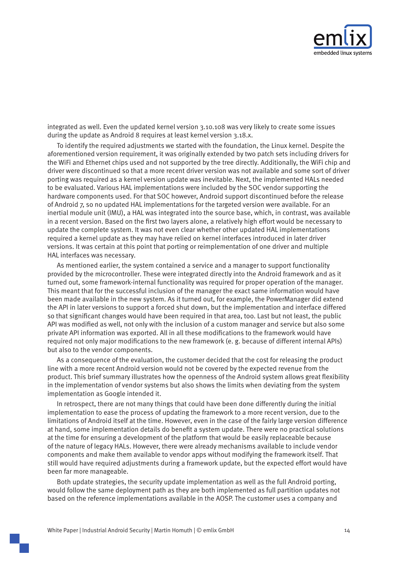

integrated as well. Even the updated kernel version 3.10.108 was very likely to create some issues during the update as Android 8 requires at least kernel version 3.18.x.

To identify the required adjustments we started with the foundation, the Linux kernel. Despite the aforementioned version requirement, it was originally extended by two patch sets including drivers for the WiFi and Ethernet chips used and not supported by the tree directly. Additionally, the WiFi chip and driver were discontinued so that a more recent driver version was not available and some sort of driver porting was required as a kernel version update was inevitable. Next, the implemented HALs needed to be evaluated. Various HAL implementations were included by the SOC vendor supporting the hardware components used. For that SOC however, Android support discontinued before the release of Android 7, so no updated HAL implementations for the targeted version were available. For an inertial module unit (IMU), a HAL was integrated into the source base, which, in contrast, was available in a recent version. Based on the first two layers alone, a relatively high effort would be necessary to update the complete system. It was not even clear whether other updated HAL implementations required a kernel update as they may have relied on kernel interfaces introduced in later driver versions. It was certain at this point that porting or reimplementation of one driver and multiple HAL interfaces was necessary.

As mentioned earlier, the system contained a service and a manager to support functionality provided by the microcontroller. These were integrated directly into the Android framework and as it turned out, some framework-internal functionality was required for proper operation of the manager. This meant that for the successful inclusion of the manager the exact same information would have been made available in the new system. As it turned out, for example, the PowerManager did extend the API in later versions to support a forced shut down, but the implementation and interface differed so that significant changes would have been required in that area, too. Last but not least, the public API was modified as well, not only with the inclusion of a custom manager and service but also some private API information was exported. All in all these modifications to the framework would have required not only major modifications to the new framework (e.g. because of different internal APIs) but also to the vendor components.

As a consequence of the evaluation, the customer decided that the cost for releasing the product line with a more recent Android version would not be covered by the expected revenue from the product. This brief summary illustrates how the openness of the Android system allows great flexibility in the implementation of vendor systems but also shows the limits when deviating from the system implementation as Google intended it.

In retrospect, there are not many things that could have been done differently during the initial implementation to ease the process of updating the framework to a more recent version, due to the limitations of Android itself at the time. However, even in the case of the fairly large version difference at hand, some implementation details do benefit a system update. There were no practical solutions at the time for ensuring a development of the platform that would be easily replaceable because of the nature of legacy HALs. However, there were already mechanisms available to include vendor components and make them available to vendor apps without modifying the framework itself. That still would have required adjustments during a framework update, but the expected effort would have been far more manageable.

Both update strategies, the security update implementation as well as the full Android porting, would follow the same deployment path as they are both implemented as full partition updates not based on the reference implementations available in the AOSP. The customer uses a company and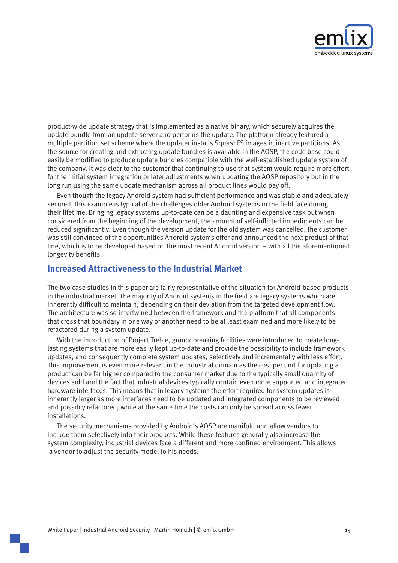

<span id="page-16-0"></span>product-wide update strategy that is implemented as a native binary, which securely acquires the update bundle from an update server and performs the update. The platform already featured a multiple partition set scheme where the updater installs SquashFS images in inactive partitions. As the source for creating and extracting update bundles is available in the AOSP, the code base could easily be modified to produce update bundles compatible with the well-established update system of the company. It was clear to the customer that continuing to use that system would require more effort for the initial system integration or later adjustments when updating the AOSP repository but in the long run using the same update mechanism across all product lines would pay off.

Even though the legacy Android system had sufficient performance and was stable and adequately secured, this example is typical of the challenges older Android systems in the field face during their lifetime. Bringing legacy systems up-to-date can be a daunting and expensive task but when considered from the beginning of the development, the amount of self-inflicted impediments can be reduced significantly. Even though the version update for the old system was cancelled, the customer was still convinced of the opportunities Android systems offer and announced the next product of that line, which is to be developed based on the most recent Android version – with all the aforementioned longevity benefits.

### **Increased Attractiveness to the Industrial Market**

The two case studies in this paper are fairly representative of the situation for Android-based products in the industrial market. The majority of Android systems in the field are legacy systems which are inherently difficult to maintain, depending on their deviation from the targeted development flow. The architecture was so intertwined between the framework and the platform that all components that cross that boundary in one way or another need to be at least examined and more likely to be refactored during a system update.

lasting systems that are more easily kept up-to-date and provide the possibility to include framework With the introduction of Project Treble, groundbreaking facilities were introduced to create longupdates, and consequently complete system updates, selectively and incrementally with less effort. This improvement is even more relevant in the industrial domain as the cost per unit for updating a product can be far higher compared to the consumer market due to the typically small quantity of devices sold and the fact that industrial devices typically contain even more supported and integrated hardware interfaces. This means that in legacy systems the effort required for system updates is inherently larger as more interfaces need to be updated and integrated components to be reviewed and possibly refactored, while at the same time the costs can only be spread across fewer .installations

The security mechanisms provided by Android's AOSP are manifold and allow vendors to include them selectively into their products. While these features generally also increase the system complexity, industrial devices face a different and more confined environment. This allows a vendor to adjust the security model to his needs.